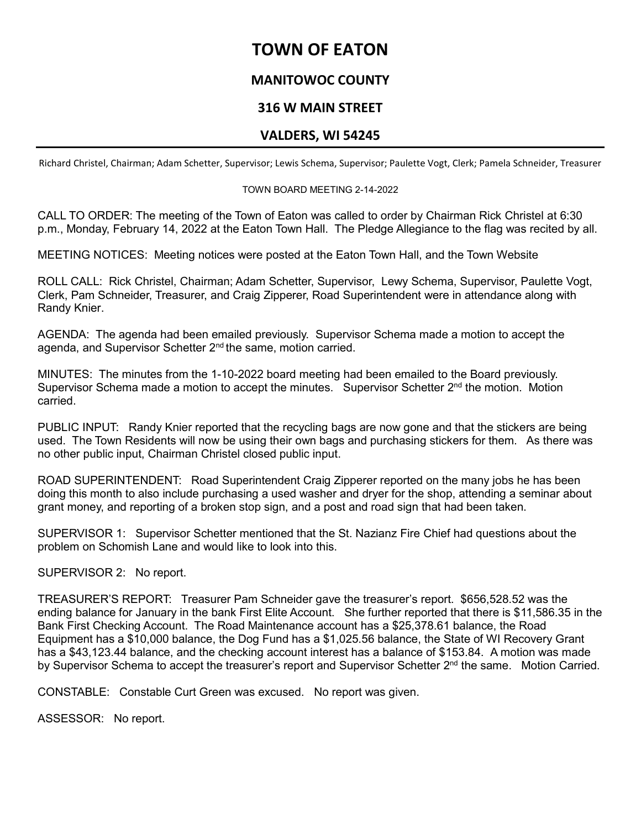# **TOWN OF EATON**

# **MANITOWOC COUNTY**

# **316 W MAIN STREET**

### **VALDERS, WI 54245**

Richard Christel, Chairman; Adam Schetter, Supervisor; Lewis Schema, Supervisor; Paulette Vogt, Clerk; Pamela Schneider, Treasurer

### TOWN BOARD MEETING 2-14-2022

CALL TO ORDER: The meeting of the Town of Eaton was called to order by Chairman Rick Christel at 6:30 p.m., Monday, February 14, 2022 at the Eaton Town Hall. The Pledge Allegiance to the flag was recited by all.

MEETING NOTICES: Meeting notices were posted at the Eaton Town Hall, and the Town Website

ROLL CALL: Rick Christel, Chairman; Adam Schetter, Supervisor, Lewy Schema, Supervisor, Paulette Vogt, Clerk, Pam Schneider, Treasurer, and Craig Zipperer, Road Superintendent were in attendance along with Randy Knier.

AGENDA: The agenda had been emailed previously. Supervisor Schema made a motion to accept the agenda, and Supervisor Schetter 2<sup>nd</sup> the same, motion carried.

MINUTES: The minutes from the 1-10-2022 board meeting had been emailed to the Board previously. Supervisor Schema made a motion to accept the minutes. Supervisor Schetter 2<sup>nd</sup> the motion. Motion carried.

PUBLIC INPUT: Randy Knier reported that the recycling bags are now gone and that the stickers are being used. The Town Residents will now be using their own bags and purchasing stickers for them. As there was no other public input, Chairman Christel closed public input.

ROAD SUPERINTENDENT: Road Superintendent Craig Zipperer reported on the many jobs he has been doing this month to also include purchasing a used washer and dryer for the shop, attending a seminar about grant money, and reporting of a broken stop sign, and a post and road sign that had been taken.

SUPERVISOR 1: Supervisor Schetter mentioned that the St. Nazianz Fire Chief had questions about the problem on Schomish Lane and would like to look into this.

SUPERVISOR 2: No report.

TREASURER'S REPORT: Treasurer Pam Schneider gave the treasurer's report. \$656,528.52 was the ending balance for January in the bank First Elite Account. She further reported that there is \$11,586.35 in the Bank First Checking Account. The Road Maintenance account has a \$25,378.61 balance, the Road Equipment has a \$10,000 balance, the Dog Fund has a \$1,025.56 balance, the State of WI Recovery Grant has a \$43,123.44 balance, and the checking account interest has a balance of \$153.84. A motion was made by Supervisor Schema to accept the treasurer's report and Supervisor Schetter 2<sup>nd</sup> the same. Motion Carried.

CONSTABLE: Constable Curt Green was excused. No report was given.

ASSESSOR: No report.